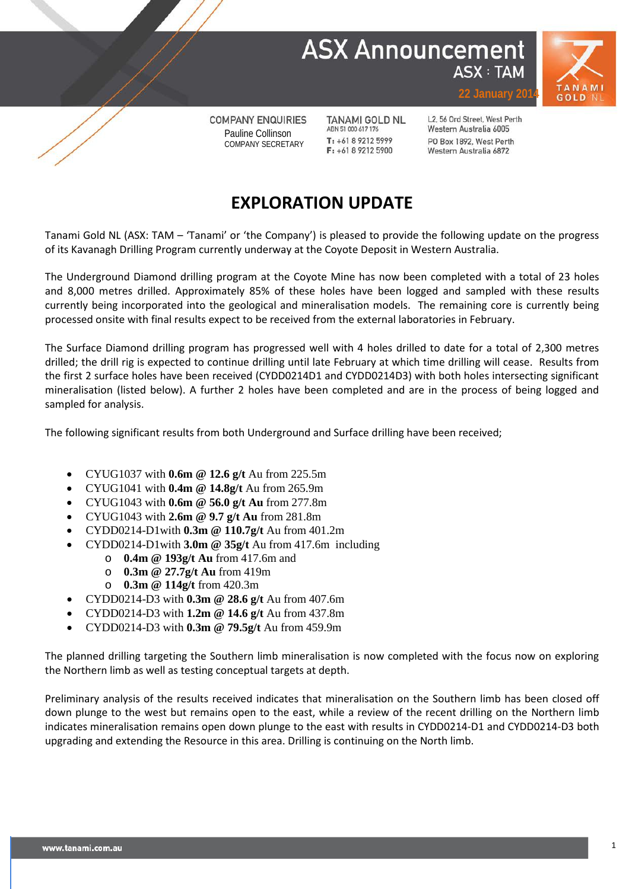



**COMPANY ENQUIRIES** Pauline Collinson COMPANY SECRETARY

**TANAMI GOLD NL** ABN 51 000 617 176  $T: +61892125999$  $F: +61892125900$ 

L2, 56 Ord Street, West Perth Western Australia 6005 PO Box 1892, West Perth Western Australia 6872

#### **EXPLORATION UPDATE**

Tanami Gold NL (ASX: TAM – 'Tanami' or 'the Company') is pleased to provide the following update on the progress of its Kavanagh Drilling Program currently underway at the Coyote Deposit in Western Australia.

The Underground Diamond drilling program at the Coyote Mine has now been completed with a total of 23 holes and 8,000 metres drilled. Approximately 85% of these holes have been logged and sampled with these results currently being incorporated into the geological and mineralisation models. The remaining core is currently being processed onsite with final results expect to be received from the external laboratories in February.

The Surface Diamond drilling program has progressed well with 4 holes drilled to date for a total of 2,300 metres drilled; the drill rig is expected to continue drilling until late February at which time drilling will cease. Results from the first 2 surface holes have been received (CYDD0214D1 and CYDD0214D3) with both holes intersecting significant mineralisation (listed below). A further 2 holes have been completed and are in the process of being logged and sampled for analysis.

The following significant results from both Underground and Surface drilling have been received;

- CYUG1037 with **0.6m @ 12.6 g/t** Au from 225.5m
- CYUG1041 with **0.4m @ 14.8g/t** Au from 265.9m
- CYUG1043 with **0.6m @ 56.0 g/t Au** from 277.8m
- CYUG1043 with **2.6m @ 9.7 g/t Au** from 281.8m
- CYDD0214-D1with **0.3m @ 110.7g/t** Au from 401.2m
- CYDD0214-D1with **3.0m @ 35g/t** Au from 417.6m including
	- o **0.4m @ 193g/t Au** from 417.6m and
	- **0.3m** @ 27.7g/t Au from 419m
	- o **0.3m @ 114g/t** from 420.3m
- CYDD0214-D3 with **0.3m @ 28.6 g/t** Au from 407.6m
	- CYDD0214-D3 with **1.2m @ 14.6 g/t** Au from 437.8m
- CYDD0214-D3 with **0.3m @ 79.5g/t** Au from 459.9m

The planned drilling targeting the Southern limb mineralisation is now completed with the focus now on exploring the Northern limb as well as testing conceptual targets at depth.

Preliminary analysis of the results received indicates that mineralisation on the Southern limb has been closed off down plunge to the west but remains open to the east, while a review of the recent drilling on the Northern limb indicates mineralisation remains open down plunge to the east with results in CYDD0214-D1 and CYDD0214-D3 both upgrading and extending the Resource in this area. Drilling is continuing on the North limb.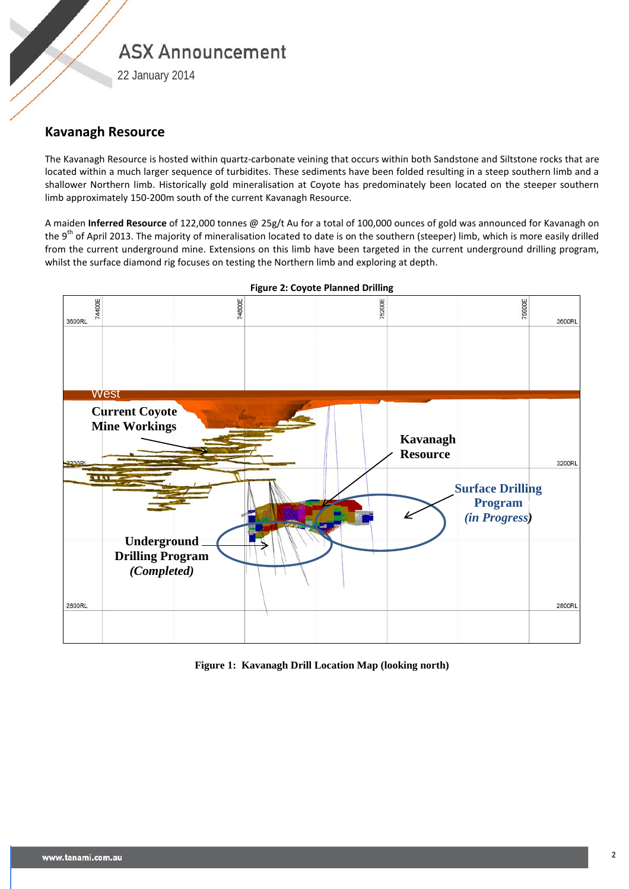22 January 2014

#### **Kavanagh Resource**

The Kavanagh Resource is hosted within quartz-carbonate veining that occurs within both Sandstone and Siltstone rocks that are located within a much larger sequence of turbidites. These sediments have been folded resulting in a steep southern limb and a shallower Northern limb. Historically gold mineralisation at Coyote has predominately been located on the steeper southern limb approximately 150-200m south of the current Kavanagh Resource.

A maiden **Inferred Resource** of 122,000 tonnes @ 25g/t Au for a total of 100,000 ounces of gold was announced for Kavanagh on the 9<sup>th</sup> of April 2013. The majority of mineralisation located to date is on the southern (steeper) limb, which is more easily drilled from the current underground mine. Extensions on this limb have been targeted in the current underground drilling program, whilst the surface diamond rig focuses on testing the Northern limb and exploring at depth.



**Figure 2: Coyote Planned Drilling**

**Figure 1: Kavanagh Drill Location Map (looking north)**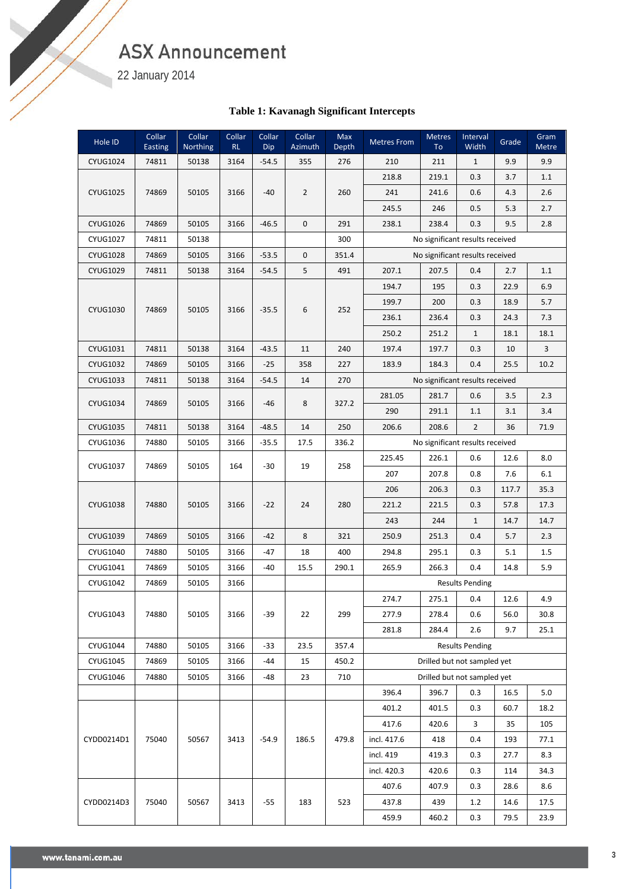22 January 2014

S. Sandwich der Teneral und der Teneral und der Teneral und der Teneral und der Teneral und der Teneral und der Teneral und der Teneral und der Teneral und der Teneral und der Teneral und der Teneral und der Teneral und de

#### **Table 1: Kavanagh Significant Intercepts**

| Hole ID         | Collar<br>Easting | Collar<br>Northing | Collar<br>RL | Collar<br>Dip | Collar<br>Azimuth | Max<br><b>Depth</b> | <b>Metres From</b> | Metres<br>To | Interval<br>Width               | Grade | Gram<br>Metre |
|-----------------|-------------------|--------------------|--------------|---------------|-------------------|---------------------|--------------------|--------------|---------------------------------|-------|---------------|
| <b>CYUG1024</b> | 74811             | 50138              | 3164         | $-54.5$       | 355               | 276                 | 210                | 211          | $\mathbf{1}$                    | 9.9   | 9.9           |
|                 |                   |                    |              |               |                   |                     | 218.8              | 219.1        | 0.3                             | 3.7   | 1.1           |
| <b>CYUG1025</b> | 74869             | 50105              | 3166         | $-40$         | $\overline{2}$    | 260                 | 241                | 241.6        | 0.6                             | 4.3   | 2.6           |
|                 |                   |                    |              |               |                   |                     | 245.5              | 246          | 0.5                             | 5.3   | 2.7           |
| <b>CYUG1026</b> | 74869             | 50105              | 3166         | $-46.5$       | $\mathbf 0$       | 291                 | 238.1              | 238.4        | 0.3                             | 9.5   | 2.8           |
| <b>CYUG1027</b> | 74811             | 50138              |              |               |                   | 300                 |                    |              | No significant results received |       |               |
| <b>CYUG1028</b> | 74869             | 50105              | 3166         | $-53.5$       | 0                 | 351.4               |                    |              | No significant results received |       |               |
| <b>CYUG1029</b> | 74811             | 50138              | 3164         | $-54.5$       | 5                 | 491                 | 207.1              | 207.5        | 0.4                             | 2.7   | 1.1           |
|                 |                   |                    |              |               |                   |                     | 194.7              | 195          | 0.3                             | 22.9  | 6.9           |
| CYUG1030        | 74869             | 50105              | 3166         | $-35.5$       | 6                 | 252                 | 199.7              | 200          | 0.3                             | 18.9  | 5.7           |
|                 |                   |                    |              |               |                   |                     | 236.1              | 236.4        | 0.3                             | 24.3  | 7.3           |
|                 |                   |                    |              |               |                   |                     | 250.2              | 251.2        | $\mathbf{1}$                    | 18.1  | 18.1          |
| CYUG1031        | 74811             | 50138              | 3164         | $-43.5$       | 11                | 240                 | 197.4              | 197.7        | 0.3                             | 10    | 3             |
| <b>CYUG1032</b> | 74869             | 50105              | 3166         | $-25$         | 358               | 227                 | 183.9              | 184.3        | 0.4                             | 25.5  | 10.2          |
| CYUG1033        | 74811             | 50138              | 3164         | $-54.5$       | 14                | 270                 |                    |              | No significant results received |       |               |
| <b>CYUG1034</b> | 74869             | 50105              | 3166         | $-46$         | 8                 | 327.2               | 281.05             | 281.7        | 0.6                             | 3.5   | 2.3           |
|                 |                   |                    |              |               |                   |                     | 290                | 291.1        | 1.1                             | 3.1   | 3.4           |
| <b>CYUG1035</b> | 74811             | 50138              | 3164         | $-48.5$       | 14                | 250                 | 206.6              | 208.6        | $\overline{2}$                  | 36    | 71.9          |
| CYUG1036        | 74880             | 50105              | 3166         | $-35.5$       | 17.5              | 336.2               |                    |              | No significant results received |       |               |
| CYUG1037        | 74869             | 50105              | 164          | $-30$         | 19                | 258                 | 225.45             | 226.1        | 0.6                             | 12.6  | 8.0           |
|                 |                   |                    |              |               |                   |                     | 207                | 207.8        | 0.8                             | 7.6   | 6.1           |
|                 |                   |                    |              |               |                   |                     | 206                | 206.3        | 0.3                             | 117.7 | 35.3          |
| <b>CYUG1038</b> | 74880             | 50105              | 3166         | $-22$         | 24                | 280                 | 221.2              | 221.5        | 0.3                             | 57.8  | 17.3          |
|                 |                   |                    |              |               |                   |                     | 243                | 244          | $\mathbf{1}$                    | 14.7  | 14.7          |
| CYUG1039        | 74869             | 50105              | 3166         | $-42$         | 8                 | 321                 | 250.9              | 251.3        | 0.4                             | 5.7   | 2.3           |
| CYUG1040        | 74880             | 50105              | 3166         | $-47$         | 18                | 400                 | 294.8              | 295.1        | 0.3                             | 5.1   | $1.5\,$       |
| CYUG1041        | 74869             | 50105              | 3166         | $-40$         | 15.5              | 290.1               | 265.9              | 266.3        | 0.4                             | 14.8  | 5.9           |
| <b>CYUG1042</b> | 74869             | 50105              | 3166         |               |                   |                     |                    |              | <b>Results Pending</b>          |       |               |
|                 |                   |                    |              |               |                   |                     | 274.7              | 275.1        | 0.4                             | 12.6  | 4.9           |
| CYUG1043        | 74880             | 50105              | 3166         | $-39$         | 22                | 299                 | 277.9              | 278.4        | 0.6                             | 56.0  | 30.8          |
|                 |                   |                    |              |               |                   |                     | 281.8              | 284.4        | 2.6                             | 9.7   | 25.1          |
| <b>CYUG1044</b> | 74880             | 50105              | 3166         | $-33$         | 23.5              | 357.4               |                    |              | <b>Results Pending</b>          |       |               |
| <b>CYUG1045</b> | 74869             | 50105              | 3166         | -44           | 15                | 450.2               |                    |              | Drilled but not sampled yet     |       |               |
| CYUG1046        | 74880             | 50105              | 3166         | -48           | 23                | 710                 |                    |              | Drilled but not sampled yet     |       |               |
|                 |                   |                    |              |               |                   |                     | 396.4              | 396.7        | 0.3                             | 16.5  | 5.0           |
|                 |                   |                    |              |               |                   |                     | 401.2              | 401.5        | 0.3                             | 60.7  | 18.2          |
|                 |                   |                    |              |               |                   |                     | 417.6              | 420.6        | 3                               | 35    | 105           |
| CYDD0214D1      | 75040             | 50567              | 3413         | $-54.9$       | 186.5             | 479.8               | incl. 417.6        | 418          | 0.4                             | 193   | 77.1          |
|                 |                   |                    |              |               |                   |                     | incl. 419          | 419.3        | 0.3                             | 27.7  | 8.3           |
|                 |                   |                    |              |               |                   |                     | incl. 420.3        | 420.6        | 0.3                             | 114   | 34.3          |
|                 |                   |                    |              |               |                   |                     | 407.6              | 407.9        | 0.3                             | 28.6  | 8.6           |
| CYDD0214D3      | 75040             | 50567              | 3413         | $-55$         | 183               | 523                 | 437.8              | 439          | 1.2                             | 14.6  | 17.5          |
|                 |                   |                    |              |               |                   |                     | 459.9              | 460.2        | 0.3                             | 79.5  | 23.9          |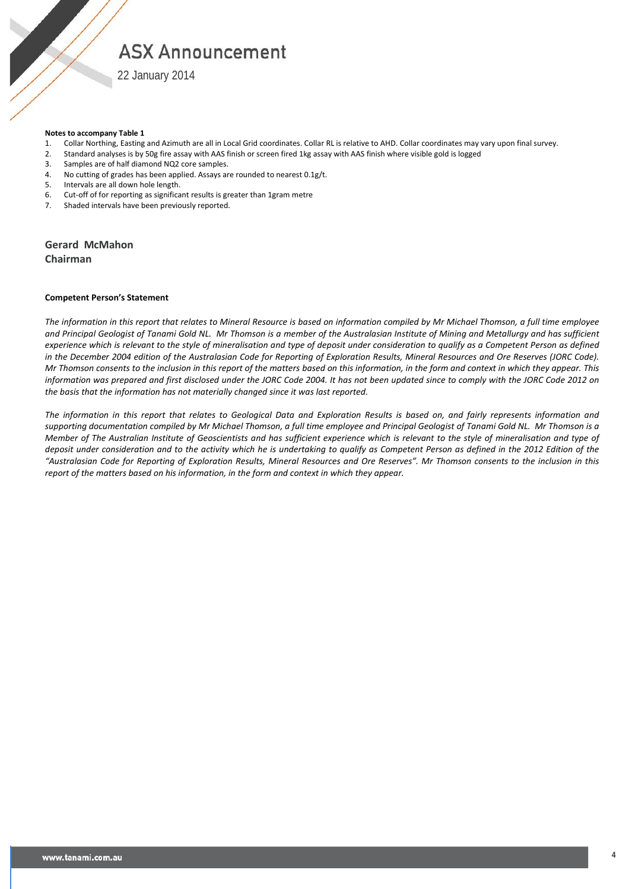22 January 2014

#### **Notes to accompany Table 1**

- 1. Collar Northing, Easting and Azimuth are all in Local Grid coordinates. Collar RL is relative to AHD. Collar coordinates may vary upon final survey.<br>2. Standard analyses is by 50g fire assay with AAS finish or screen fi
- 2. Standard analyses is by 50g fire assay with AAS finish or screen fired 1kg assay with AAS finish where visible gold is logged
- 3. Samples are of half diamond NQ2 core samples.
- 4. No cutting of grades has been applied. Assays are rounded to nearest 0.1g/t.
- 5. Intervals are all down hole length.
- 6. Cut-off of for reporting as significant results is greater than 1gram metre
- Shaded intervals have been previously reported.

**Gerard McMahon Chairman**

#### **Competent Person's Statement**

*The information in this report that relates to Mineral Resource is based on information compiled by Mr Michael Thomson, a full time employee and Principal Geologist of Tanami Gold NL. Mr Thomson is a member of the Australasian Institute of Mining and Metallurgy and has sufficient experience which is relevant to the style of mineralisation and type of deposit under consideration to qualify as a Competent Person as defined in the December 2004 edition of the Australasian Code for Reporting of Exploration Results, Mineral Resources and Ore Reserves (JORC Code). Mr Thomson consents to the inclusion in this report of the matters based on this information, in the form and context in which they appear. This information was prepared and first disclosed under the JORC Code 2004. It has not been updated since to comply with the JORC Code 2012 on the basis that the information has not materially changed since it was last reported.*

*The information in this report that relates to Geological Data and Exploration Results is based on, and fairly represents information and supporting documentation compiled by Mr Michael Thomson, a full time employee and Principal Geologist of Tanami Gold NL. Mr Thomson is a Member of The Australian Institute of Geoscientists and has sufficient experience which is relevant to the style of mineralisation and type of deposit under consideration and to the activity which he is undertaking to qualify as Competent Person as defined in the 2012 Edition of the "Australasian Code for Reporting of Exploration Results, Mineral Resources and Ore Reserves". Mr Thomson consents to the inclusion in this report of the matters based on his information, in the form and context in which they appear.*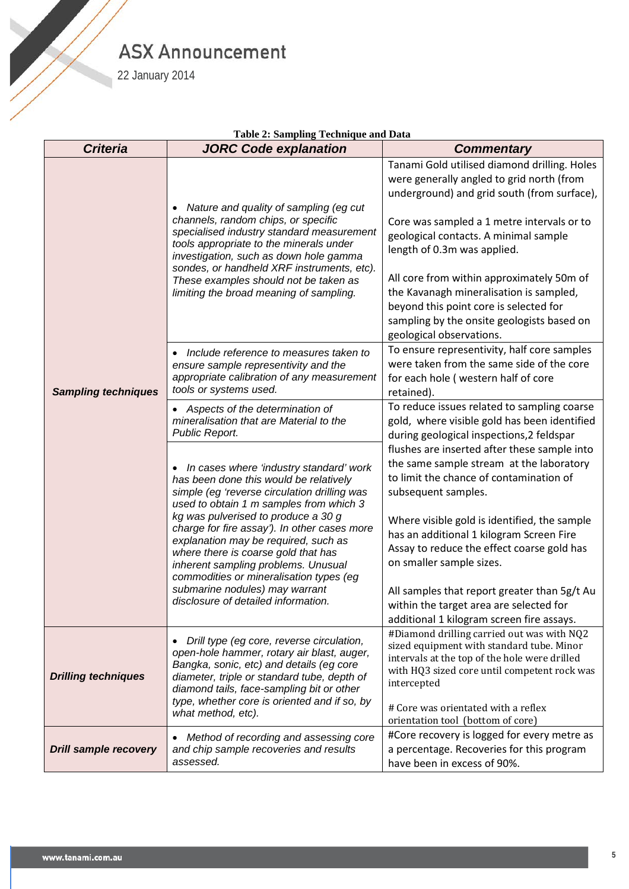22 January 2014

W 11

|                                                          | Table 2: Sampling Technique and Data                                                                                                                                                                                                                                                                                                                                                                                                                                     |                                                                                                                                                                                                                                                                                                                                                                                                                                                                            |
|----------------------------------------------------------|--------------------------------------------------------------------------------------------------------------------------------------------------------------------------------------------------------------------------------------------------------------------------------------------------------------------------------------------------------------------------------------------------------------------------------------------------------------------------|----------------------------------------------------------------------------------------------------------------------------------------------------------------------------------------------------------------------------------------------------------------------------------------------------------------------------------------------------------------------------------------------------------------------------------------------------------------------------|
| <b>Criteria</b>                                          | <b>JORC Code explanation</b>                                                                                                                                                                                                                                                                                                                                                                                                                                             | <b>Commentary</b>                                                                                                                                                                                                                                                                                                                                                                                                                                                          |
|                                                          | Nature and quality of sampling (eg cut<br>$\bullet$<br>channels, random chips, or specific<br>specialised industry standard measurement<br>tools appropriate to the minerals under<br>investigation, such as down hole gamma<br>sondes, or handheld XRF instruments, etc).<br>These examples should not be taken as<br>limiting the broad meaning of sampling.                                                                                                           | Tanami Gold utilised diamond drilling. Holes<br>were generally angled to grid north (from<br>underground) and grid south (from surface),<br>Core was sampled a 1 metre intervals or to<br>geological contacts. A minimal sample<br>length of 0.3m was applied.<br>All core from within approximately 50m of<br>the Kavanagh mineralisation is sampled,<br>beyond this point core is selected for<br>sampling by the onsite geologists based on<br>geological observations. |
| <b>Sampling techniques</b><br><b>Drilling techniques</b> | Include reference to measures taken to<br>ensure sample representivity and the<br>appropriate calibration of any measurement<br>tools or systems used.                                                                                                                                                                                                                                                                                                                   | To ensure representivity, half core samples<br>were taken from the same side of the core<br>for each hole (western half of core<br>retained).                                                                                                                                                                                                                                                                                                                              |
|                                                          | Aspects of the determination of<br>mineralisation that are Material to the<br>Public Report.                                                                                                                                                                                                                                                                                                                                                                             | To reduce issues related to sampling coarse<br>gold, where visible gold has been identified<br>during geological inspections, 2 feldspar                                                                                                                                                                                                                                                                                                                                   |
|                                                          | • In cases where 'industry standard' work<br>has been done this would be relatively<br>simple (eg 'reverse circulation drilling was<br>used to obtain 1 m samples from which 3<br>kg was pulverised to produce a 30 g<br>charge for fire assay'). In other cases more<br>explanation may be required, such as<br>where there is coarse gold that has<br>inherent sampling problems. Unusual<br>commodities or mineralisation types (eg<br>submarine nodules) may warrant | flushes are inserted after these sample into<br>the same sample stream at the laboratory<br>to limit the chance of contamination of<br>subsequent samples.<br>Where visible gold is identified, the sample                                                                                                                                                                                                                                                                 |
|                                                          |                                                                                                                                                                                                                                                                                                                                                                                                                                                                          | has an additional 1 kilogram Screen Fire<br>Assay to reduce the effect coarse gold has<br>on smaller sample sizes.<br>All samples that report greater than 5g/t Au                                                                                                                                                                                                                                                                                                         |
|                                                          | disclosure of detailed information.                                                                                                                                                                                                                                                                                                                                                                                                                                      | within the target area are selected for<br>additional 1 kilogram screen fire assays.                                                                                                                                                                                                                                                                                                                                                                                       |
|                                                          | Drill type (eg core, reverse circulation,<br>$\bullet$<br>open-hole hammer, rotary air blast, auger,<br>Bangka, sonic, etc) and details (eg core<br>diameter, triple or standard tube, depth of<br>diamond tails, face-sampling bit or other<br>type, whether core is oriented and if so, by                                                                                                                                                                             | #Diamond drilling carried out was with NQ2<br>sized equipment with standard tube. Minor<br>intervals at the top of the hole were drilled<br>with HQ3 sized core until competent rock was<br>intercepted                                                                                                                                                                                                                                                                    |
|                                                          | what method, etc).                                                                                                                                                                                                                                                                                                                                                                                                                                                       | # Core was orientated with a reflex<br>orientation tool (bottom of core)                                                                                                                                                                                                                                                                                                                                                                                                   |
| <b>Drill sample recovery</b>                             | Method of recording and assessing core<br>$\bullet$<br>and chip sample recoveries and results<br>assessed.                                                                                                                                                                                                                                                                                                                                                               | #Core recovery is logged for every metre as<br>a percentage. Recoveries for this program<br>have been in excess of 90%.                                                                                                                                                                                                                                                                                                                                                    |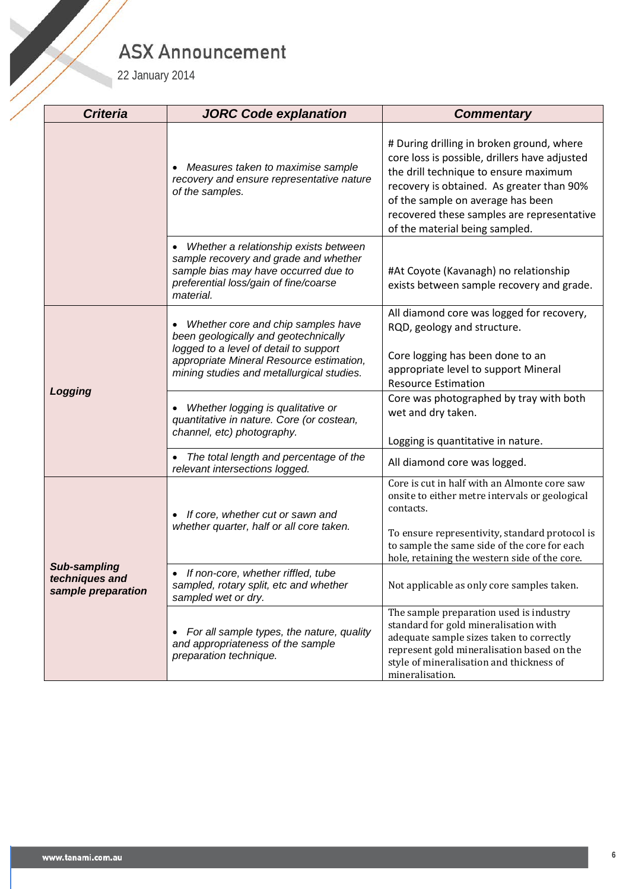| 22 January 2014                                      | <b>ASX Announcement</b>                                                                                                                                                                                       |                                                                                                                                                                                                                                                                                                       |
|------------------------------------------------------|---------------------------------------------------------------------------------------------------------------------------------------------------------------------------------------------------------------|-------------------------------------------------------------------------------------------------------------------------------------------------------------------------------------------------------------------------------------------------------------------------------------------------------|
| <b>Criteria</b>                                      | <b>JORC Code explanation</b>                                                                                                                                                                                  | <b>Commentary</b>                                                                                                                                                                                                                                                                                     |
|                                                      | Measures taken to maximise sample<br>recovery and ensure representative nature<br>of the samples.                                                                                                             | # During drilling in broken ground, where<br>core loss is possible, drillers have adjusted<br>the drill technique to ensure maximum<br>recovery is obtained. As greater than 90%<br>of the sample on average has been<br>recovered these samples are representative<br>of the material being sampled. |
|                                                      | Whether a relationship exists between<br>$\bullet$<br>sample recovery and grade and whether<br>sample bias may have occurred due to<br>preferential loss/gain of fine/coarse<br>material.                     | #At Coyote (Kavanagh) no relationship<br>exists between sample recovery and grade.                                                                                                                                                                                                                    |
|                                                      | Whether core and chip samples have<br>been geologically and geotechnically<br>logged to a level of detail to support<br>appropriate Mineral Resource estimation,<br>mining studies and metallurgical studies. | All diamond core was logged for recovery,<br>RQD, geology and structure.<br>Core logging has been done to an<br>appropriate level to support Mineral<br><b>Resource Estimation</b>                                                                                                                    |
| Logging                                              | Whether logging is qualitative or<br>quantitative in nature. Core (or costean,<br>channel, etc) photography.                                                                                                  | Core was photographed by tray with both<br>wet and dry taken.<br>Logging is quantitative in nature.                                                                                                                                                                                                   |
|                                                      | The total length and percentage of the<br>relevant intersections logged.                                                                                                                                      | All diamond core was logged.                                                                                                                                                                                                                                                                          |
|                                                      | If core, whether cut or sawn and<br>$\bullet$<br>whether quarter, half or all core taken.                                                                                                                     | Core is cut in half with an Almonte core saw<br>onsite to either metre intervals or geological<br>contacts.<br>To ensure representivity, standard protocol is<br>to sample the same side of the core for each                                                                                         |
| Sub-sampling<br>techniques and<br>sample preparation | If non-core, whether riffled, tube<br>sampled, rotary split, etc and whether<br>sampled wet or dry.                                                                                                           | hole, retaining the western side of the core.<br>Not applicable as only core samples taken.                                                                                                                                                                                                           |
|                                                      | For all sample types, the nature, quality<br>$\bullet$<br>and appropriateness of the sample<br>preparation technique.                                                                                         | The sample preparation used is industry<br>standard for gold mineralisation with<br>adequate sample sizes taken to correctly<br>represent gold mineralisation based on the<br>style of mineralisation and thickness of<br>mineralisation.                                                             |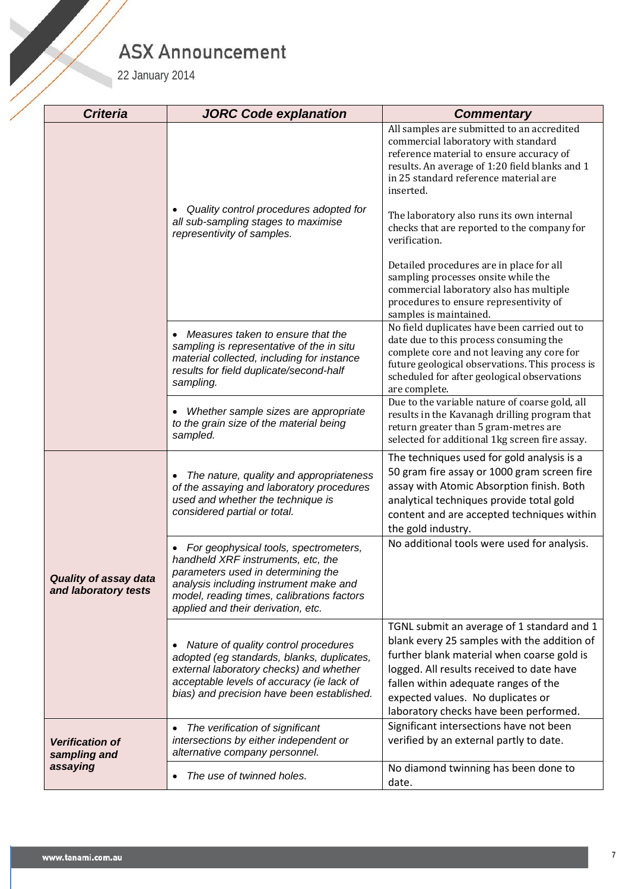| 22 January 2014                                      | <b>ASX Announcement</b>                                                                                                                                                                                                                                      |                                                                                                                                                                                                                                                                                                             |
|------------------------------------------------------|--------------------------------------------------------------------------------------------------------------------------------------------------------------------------------------------------------------------------------------------------------------|-------------------------------------------------------------------------------------------------------------------------------------------------------------------------------------------------------------------------------------------------------------------------------------------------------------|
| <b>Criteria</b>                                      | <b>JORC Code explanation</b>                                                                                                                                                                                                                                 | <b>Commentary</b>                                                                                                                                                                                                                                                                                           |
|                                                      |                                                                                                                                                                                                                                                              | All samples are submitted to an accredited<br>commercial laboratory with standard<br>reference material to ensure accuracy of<br>results. An average of 1:20 field blanks and 1<br>in 25 standard reference material are<br>inserted.                                                                       |
|                                                      | Quality control procedures adopted for<br>all sub-sampling stages to maximise<br>representivity of samples.                                                                                                                                                  | The laboratory also runs its own internal<br>checks that are reported to the company for<br>verification.                                                                                                                                                                                                   |
|                                                      |                                                                                                                                                                                                                                                              | Detailed procedures are in place for all<br>sampling processes onsite while the<br>commercial laboratory also has multiple<br>procedures to ensure representivity of<br>samples is maintained.                                                                                                              |
|                                                      | Measures taken to ensure that the<br>sampling is representative of the in situ<br>material collected, including for instance<br>results for field duplicate/second-half<br>sampling.                                                                         | No field duplicates have been carried out to<br>date due to this process consuming the<br>complete core and not leaving any core for<br>future geological observations. This process is<br>scheduled for after geological observations<br>are complete.                                                     |
|                                                      | Whether sample sizes are appropriate<br>to the grain size of the material being<br>sampled.                                                                                                                                                                  | Due to the variable nature of coarse gold, all<br>results in the Kavanagh drilling program that<br>return greater than 5 gram-metres are<br>selected for additional 1kg screen fire assay.                                                                                                                  |
|                                                      | The nature, quality and appropriateness<br>of the assaying and laboratory procedures<br>used and whether the technique is<br>considered partial or total.                                                                                                    | The techniques used for gold analysis is a<br>50 gram fire assay or 1000 gram screen fire<br>assay with Atomic Absorption finish. Both<br>analytical techniques provide total gold<br>content and are accepted techniques within<br>the gold industry.                                                      |
| <b>Quality of assay data</b><br>and laboratory tests | For geophysical tools, spectrometers,<br>$\bullet$<br>handheld XRF instruments, etc, the<br>parameters used in determining the<br>analysis including instrument make and<br>model, reading times, calibrations factors<br>applied and their derivation, etc. | No additional tools were used for analysis.                                                                                                                                                                                                                                                                 |
|                                                      | Nature of quality control procedures<br>adopted (eg standards, blanks, duplicates,<br>external laboratory checks) and whether<br>acceptable levels of accuracy (ie lack of<br>bias) and precision have been established.                                     | TGNL submit an average of 1 standard and 1<br>blank every 25 samples with the addition of<br>further blank material when coarse gold is<br>logged. All results received to date have<br>fallen within adequate ranges of the<br>expected values. No duplicates or<br>laboratory checks have been performed. |
| <b>Verification of</b><br>sampling and               | The verification of significant<br>$\bullet$<br>intersections by either independent or<br>alternative company personnel.                                                                                                                                     | Significant intersections have not been<br>verified by an external partly to date.                                                                                                                                                                                                                          |
| assaying                                             | The use of twinned holes.<br>$\bullet$                                                                                                                                                                                                                       | No diamond twinning has been done to<br>date.                                                                                                                                                                                                                                                               |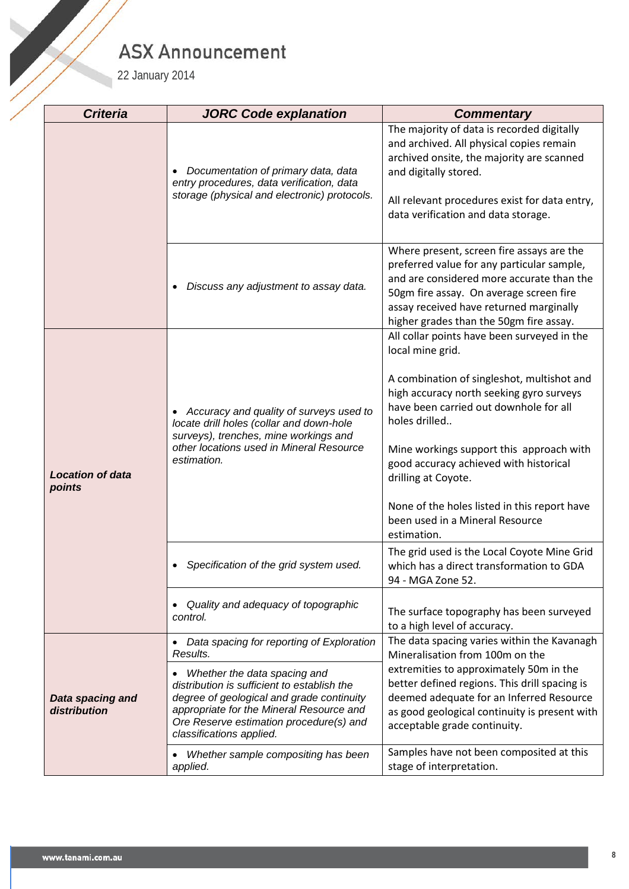| 22 January 2014                   | <b>ASX Announcement</b>                                                                                                                                                                                                                     |                                                                                                                                                                                                                                                                                                                                                                                                                                     |
|-----------------------------------|---------------------------------------------------------------------------------------------------------------------------------------------------------------------------------------------------------------------------------------------|-------------------------------------------------------------------------------------------------------------------------------------------------------------------------------------------------------------------------------------------------------------------------------------------------------------------------------------------------------------------------------------------------------------------------------------|
| <b>Criteria</b>                   | <b>JORC Code explanation</b>                                                                                                                                                                                                                | <b>Commentary</b>                                                                                                                                                                                                                                                                                                                                                                                                                   |
|                                   | Documentation of primary data, data<br>$\bullet$<br>entry procedures, data verification, data<br>storage (physical and electronic) protocols.                                                                                               | The majority of data is recorded digitally<br>and archived. All physical copies remain<br>archived onsite, the majority are scanned<br>and digitally stored.<br>All relevant procedures exist for data entry,<br>data verification and data storage.                                                                                                                                                                                |
|                                   | Discuss any adjustment to assay data.                                                                                                                                                                                                       | Where present, screen fire assays are the<br>preferred value for any particular sample,<br>and are considered more accurate than the<br>50gm fire assay. On average screen fire<br>assay received have returned marginally<br>higher grades than the 50gm fire assay.                                                                                                                                                               |
| <b>Location of data</b><br>points | Accuracy and quality of surveys used to<br>$\bullet$<br>locate drill holes (collar and down-hole<br>surveys), trenches, mine workings and<br>other locations used in Mineral Resource<br>estimation.                                        | All collar points have been surveyed in the<br>local mine grid.<br>A combination of singleshot, multishot and<br>high accuracy north seeking gyro surveys<br>have been carried out downhole for all<br>holes drilled<br>Mine workings support this approach with<br>good accuracy achieved with historical<br>drilling at Coyote.<br>None of the holes listed in this report have<br>been used in a Mineral Resource<br>estimation. |
|                                   | Specification of the grid system used.<br>$\bullet$                                                                                                                                                                                         | The grid used is the Local Coyote Mine Grid<br>which has a direct transformation to GDA<br>94 - MGA Zone 52.                                                                                                                                                                                                                                                                                                                        |
|                                   | Quality and adequacy of topographic<br>control.                                                                                                                                                                                             | The surface topography has been surveyed<br>to a high level of accuracy.                                                                                                                                                                                                                                                                                                                                                            |
|                                   | Data spacing for reporting of Exploration<br>Results.                                                                                                                                                                                       | The data spacing varies within the Kavanagh<br>Mineralisation from 100m on the                                                                                                                                                                                                                                                                                                                                                      |
| Data spacing and<br>distribution  | Whether the data spacing and<br>distribution is sufficient to establish the<br>degree of geological and grade continuity<br>appropriate for the Mineral Resource and<br>Ore Reserve estimation procedure(s) and<br>classifications applied. | extremities to approximately 50m in the<br>better defined regions. This drill spacing is<br>deemed adequate for an Inferred Resource<br>as good geological continuity is present with<br>acceptable grade continuity.                                                                                                                                                                                                               |
|                                   | Whether sample compositing has been<br>applied.                                                                                                                                                                                             | Samples have not been composited at this<br>stage of interpretation.                                                                                                                                                                                                                                                                                                                                                                |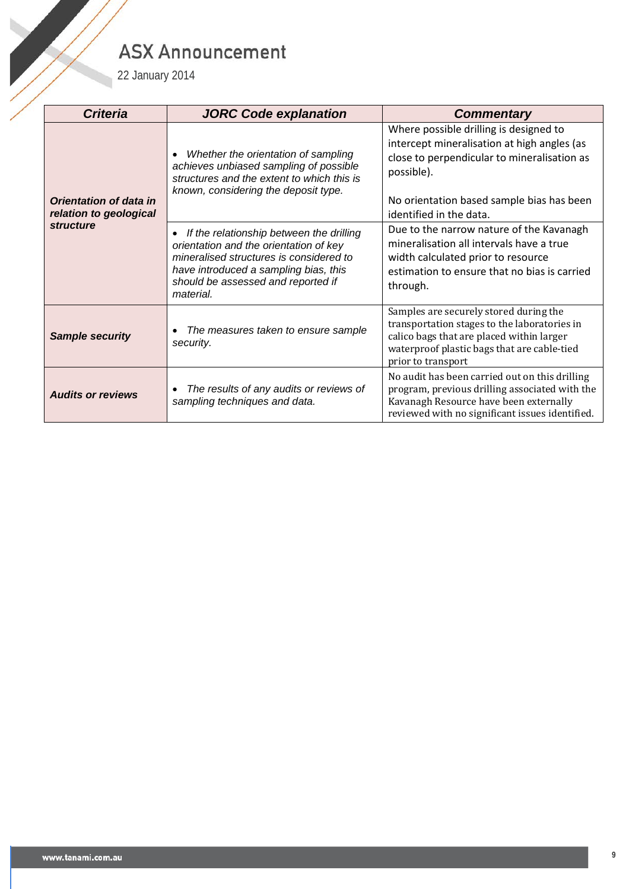| 22 January 2014                                                             | <b>ASX Announcement</b>                                                                                                                                                                                                                   |                                                                                                                                                                                                                                                                        |
|-----------------------------------------------------------------------------|-------------------------------------------------------------------------------------------------------------------------------------------------------------------------------------------------------------------------------------------|------------------------------------------------------------------------------------------------------------------------------------------------------------------------------------------------------------------------------------------------------------------------|
| <b>Criteria</b>                                                             | <b>JORC Code explanation</b>                                                                                                                                                                                                              | <b>Commentary</b>                                                                                                                                                                                                                                                      |
| <b>Orientation of data in</b><br>relation to geological<br><b>structure</b> | Whether the orientation of sampling<br>$\bullet$<br>achieves unbiased sampling of possible<br>structures and the extent to which this is<br>known, considering the deposit type.<br>If the relationship between the drilling<br>$\bullet$ | Where possible drilling is designed to<br>intercept mineralisation at high angles (as<br>close to perpendicular to mineralisation as<br>possible).<br>No orientation based sample bias has been<br>identified in the data.<br>Due to the narrow nature of the Kavanagh |
|                                                                             | orientation and the orientation of key<br>mineralised structures is considered to<br>have introduced a sampling bias, this<br>should be assessed and reported if<br>material.                                                             | mineralisation all intervals have a true<br>width calculated prior to resource<br>estimation to ensure that no bias is carried<br>through.                                                                                                                             |
| <b>Sample security</b>                                                      | The measures taken to ensure sample<br>$\bullet$<br>security.                                                                                                                                                                             | Samples are securely stored during the<br>transportation stages to the laboratories in<br>calico bags that are placed within larger<br>waterproof plastic bags that are cable-tied<br>prior to transport                                                               |
| <b>Audits or reviews</b>                                                    | The results of any audits or reviews of<br>$\bullet$<br>sampling techniques and data.                                                                                                                                                     | No audit has been carried out on this drilling<br>program, previous drilling associated with the<br>Kavanagh Resource have been externally<br>reviewed with no significant issues identified.                                                                          |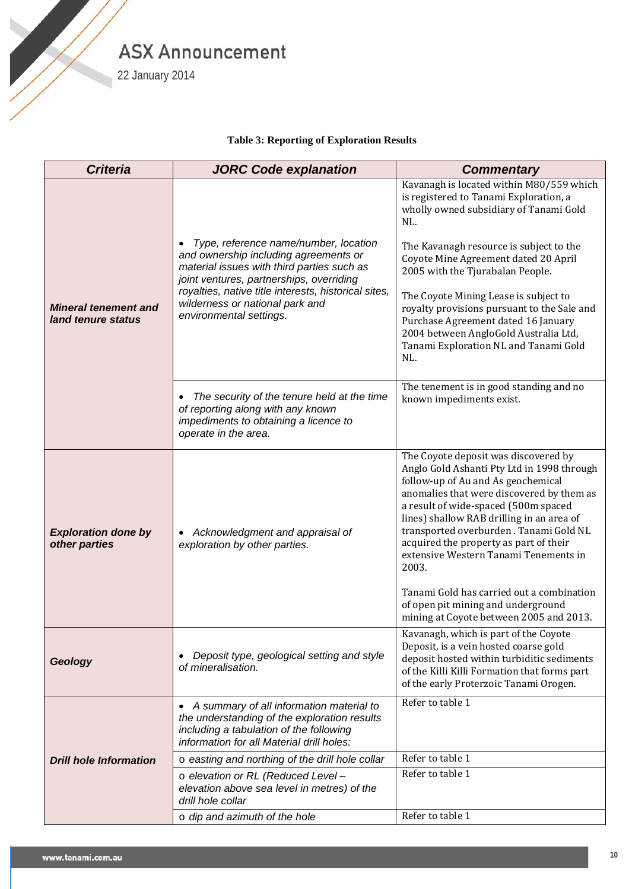

22 January 2014

S. Sandwich der Teneral und der Teneral und der Teneral und der Teneral und der Teneral und der Teneral und der Teneral und der Teneral und der Teneral und der Teneral und der Teneral und der Teneral und der Teneral und de

#### **Table 3: Reporting of Exploration Results**

| <b>Criteria</b>                                   | <b>JORC Code explanation</b>                                                                                                                                                                                                                                                                   | <b>Commentary</b>                                                                                                                                                                                                                                                                                                                                                                                                                                                                                                              |
|---------------------------------------------------|------------------------------------------------------------------------------------------------------------------------------------------------------------------------------------------------------------------------------------------------------------------------------------------------|--------------------------------------------------------------------------------------------------------------------------------------------------------------------------------------------------------------------------------------------------------------------------------------------------------------------------------------------------------------------------------------------------------------------------------------------------------------------------------------------------------------------------------|
| <b>Mineral tenement and</b><br>land tenure status | Type, reference name/number, location<br>and ownership including agreements or<br>material issues with third parties such as<br>joint ventures, partnerships, overriding<br>royalties, native title interests, historical sites,<br>wilderness or national park and<br>environmental settings. | Kavanagh is located within M80/559 which<br>is registered to Tanami Exploration, a<br>wholly owned subsidiary of Tanami Gold<br>NL.<br>The Kavanagh resource is subject to the<br>Coyote Mine Agreement dated 20 April<br>2005 with the Tjurabalan People.<br>The Coyote Mining Lease is subject to<br>royalty provisions pursuant to the Sale and<br>Purchase Agreement dated 16 January<br>2004 between AngloGold Australia Ltd,<br>Tanami Exploration NL and Tanami Gold<br>NL.                                             |
|                                                   | The security of the tenure held at the time<br>of reporting along with any known<br>impediments to obtaining a licence to<br>operate in the area.                                                                                                                                              | The tenement is in good standing and no<br>known impediments exist.                                                                                                                                                                                                                                                                                                                                                                                                                                                            |
| <b>Exploration done by</b><br>other parties       | Acknowledgment and appraisal of<br>exploration by other parties.                                                                                                                                                                                                                               | The Coyote deposit was discovered by<br>Anglo Gold Ashanti Pty Ltd in 1998 through<br>follow-up of Au and As geochemical<br>anomalies that were discovered by them as<br>a result of wide-spaced (500m spaced<br>lines) shallow RAB drilling in an area of<br>transported overburden. Tanami Gold NL<br>acquired the property as part of their<br>extensive Western Tanami Tenements in<br>2003.<br>Tanami Gold has carried out a combination<br>of open pit mining and underground<br>mining at Coyote between 2005 and 2013. |
| Geology                                           | Deposit type, geological setting and style<br>of mineralisation.                                                                                                                                                                                                                               | Kavanagh, which is part of the Coyote<br>Deposit, is a vein hosted coarse gold<br>deposit hosted within turbiditic sediments<br>of the Killi Killi Formation that forms part<br>of the early Proterzoic Tanami Orogen.                                                                                                                                                                                                                                                                                                         |
|                                                   | • A summary of all information material to<br>the understanding of the exploration results<br>including a tabulation of the following<br>information for all Material drill holes:                                                                                                             | Refer to table 1                                                                                                                                                                                                                                                                                                                                                                                                                                                                                                               |
| <b>Drill hole Information</b>                     | o easting and northing of the drill hole collar                                                                                                                                                                                                                                                | Refer to table 1                                                                                                                                                                                                                                                                                                                                                                                                                                                                                                               |
|                                                   | o elevation or RL (Reduced Level -<br>elevation above sea level in metres) of the<br>drill hole collar                                                                                                                                                                                         | Refer to table 1                                                                                                                                                                                                                                                                                                                                                                                                                                                                                                               |
|                                                   | $\circ$ dip and azimuth of the hole                                                                                                                                                                                                                                                            | Refer to table 1                                                                                                                                                                                                                                                                                                                                                                                                                                                                                                               |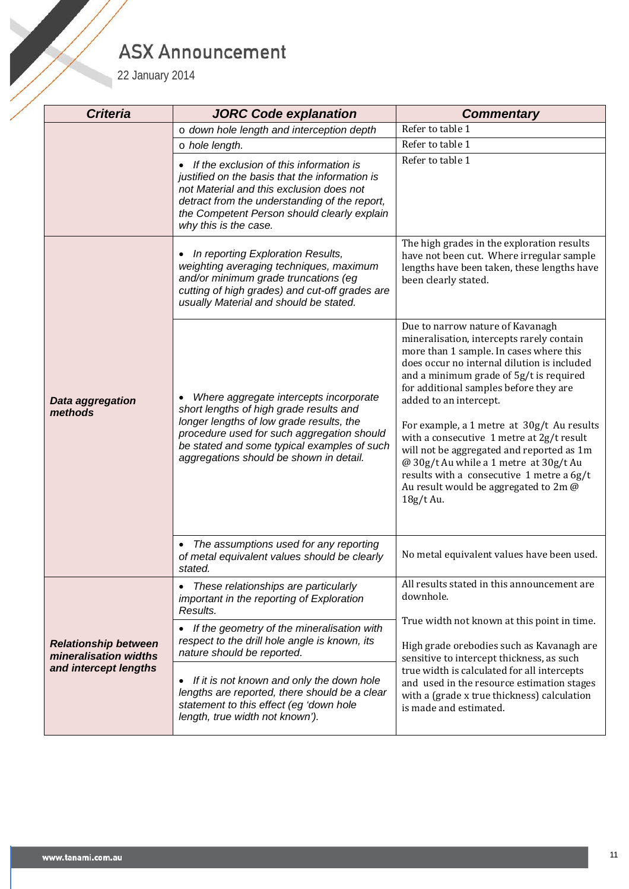| 22 January 2014                                      | <b>ASX Announcement</b>                                                                                                                                                                                                                                               |                                                                                                                                                                                                                                                                                                                                                                                                                                                                                                                                                                             |  |
|------------------------------------------------------|-----------------------------------------------------------------------------------------------------------------------------------------------------------------------------------------------------------------------------------------------------------------------|-----------------------------------------------------------------------------------------------------------------------------------------------------------------------------------------------------------------------------------------------------------------------------------------------------------------------------------------------------------------------------------------------------------------------------------------------------------------------------------------------------------------------------------------------------------------------------|--|
| <b>Criteria</b>                                      | <b>JORC Code explanation</b>                                                                                                                                                                                                                                          | <b>Commentary</b>                                                                                                                                                                                                                                                                                                                                                                                                                                                                                                                                                           |  |
|                                                      | o down hole length and interception depth                                                                                                                                                                                                                             | Refer to table 1                                                                                                                                                                                                                                                                                                                                                                                                                                                                                                                                                            |  |
|                                                      | o hole length.                                                                                                                                                                                                                                                        | Refer to table 1                                                                                                                                                                                                                                                                                                                                                                                                                                                                                                                                                            |  |
|                                                      | If the exclusion of this information is<br>justified on the basis that the information is<br>not Material and this exclusion does not<br>detract from the understanding of the report,<br>the Competent Person should clearly explain<br>why this is the case.        | Refer to table 1                                                                                                                                                                                                                                                                                                                                                                                                                                                                                                                                                            |  |
|                                                      | In reporting Exploration Results,<br>weighting averaging techniques, maximum<br>and/or minimum grade truncations (eg<br>cutting of high grades) and cut-off grades are<br>usually Material and should be stated.                                                      | The high grades in the exploration results<br>have not been cut. Where irregular sample<br>lengths have been taken, these lengths have<br>been clearly stated.                                                                                                                                                                                                                                                                                                                                                                                                              |  |
| Data aggregation<br>methods                          | Where aggregate intercepts incorporate<br>short lengths of high grade results and<br>longer lengths of low grade results, the<br>procedure used for such aggregation should<br>be stated and some typical examples of such<br>aggregations should be shown in detail. | Due to narrow nature of Kavanagh<br>mineralisation, intercepts rarely contain<br>more than 1 sample. In cases where this<br>does occur no internal dilution is included<br>and a minimum grade of 5g/t is required<br>for additional samples before they are<br>added to an intercept.<br>For example, a 1 metre at 30g/t Au results<br>with a consecutive 1 metre at 2g/t result<br>will not be aggregated and reported as 1m<br>@ 30g/t Au while a 1 metre at 30g/t Au<br>results with a consecutive 1 metre a 6g/t<br>Au result would be aggregated to 2m @<br>18g/t Au. |  |
|                                                      | The assumptions used for any reporting<br>of metal equivalent values should be clearly<br>stated.                                                                                                                                                                     | No metal equivalent values have been used.                                                                                                                                                                                                                                                                                                                                                                                                                                                                                                                                  |  |
|                                                      | These relationships are particularly<br>important in the reporting of Exploration<br>Results.                                                                                                                                                                         | All results stated in this announcement are<br>downhole.<br>True width not known at this point in time.                                                                                                                                                                                                                                                                                                                                                                                                                                                                     |  |
| <b>Relationship between</b><br>mineralisation widths | If the geometry of the mineralisation with<br>respect to the drill hole angle is known, its<br>nature should be reported.                                                                                                                                             | High grade orebodies such as Kavanagh are<br>sensitive to intercept thickness, as such                                                                                                                                                                                                                                                                                                                                                                                                                                                                                      |  |
| and intercept lengths                                | • If it is not known and only the down hole<br>lengths are reported, there should be a clear<br>statement to this effect (eg 'down hole<br>length, true width not known').                                                                                            | true width is calculated for all intercepts<br>and used in the resource estimation stages<br>with a (grade x true thickness) calculation<br>is made and estimated.                                                                                                                                                                                                                                                                                                                                                                                                          |  |